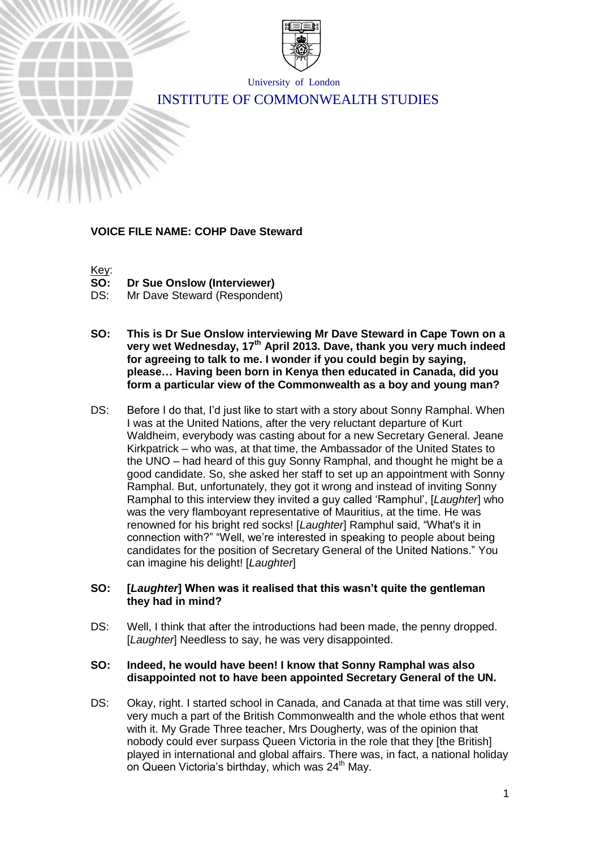

University of London

# INSTITUTE OF COMMONWEALTH STUDIES

#### **VOICE FILE NAME: COHP Dave Steward**



- **SO: Dr Sue Onslow (Interviewer)**
- DS: Mr Dave Steward (Respondent)
- **SO: This is Dr Sue Onslow interviewing Mr Dave Steward in Cape Town on a very wet Wednesday, 17th April 2013. Dave, thank you very much indeed for agreeing to talk to me. I wonder if you could begin by saying, please… Having been born in Kenya then educated in Canada, did you form a particular view of the Commonwealth as a boy and young man?**
- DS: Before I do that, I'd just like to start with a story about Sonny Ramphal. When I was at the United Nations, after the very reluctant departure of Kurt Waldheim, everybody was casting about for a new Secretary General. Jeane Kirkpatrick – who was, at that time, the Ambassador of the United States to the UNO – had heard of this guy Sonny Ramphal, and thought he might be a good candidate. So, she asked her staff to set up an appointment with Sonny Ramphal. But, unfortunately, they got it wrong and instead of inviting Sonny Ramphal to this interview they invited a guy called 'Ramphul', [*Laughter*] who was the very flamboyant representative of Mauritius, at the time. He was renowned for his bright red socks! [*Laughter*] Ramphul said, "What's it in connection with?" "Well, we're interested in speaking to people about being candidates for the position of Secretary General of the United Nations." You can imagine his delight! [*Laughter*]

#### **SO: [***Laughter***] When was it realised that this wasn't quite the gentleman they had in mind?**

DS: Well, I think that after the introductions had been made, the penny dropped. [*Laughter*] Needless to say, he was very disappointed.

#### **SO: Indeed, he would have been! I know that Sonny Ramphal was also disappointed not to have been appointed Secretary General of the UN.**

DS: Okay, right. I started school in Canada, and Canada at that time was still very, very much a part of the British Commonwealth and the whole ethos that went with it. My Grade Three teacher, Mrs Dougherty, was of the opinion that nobody could ever surpass Queen Victoria in the role that they [the British] played in international and global affairs. There was, in fact, a national holiday on Queen Victoria's birthday, which was 24<sup>th</sup> May.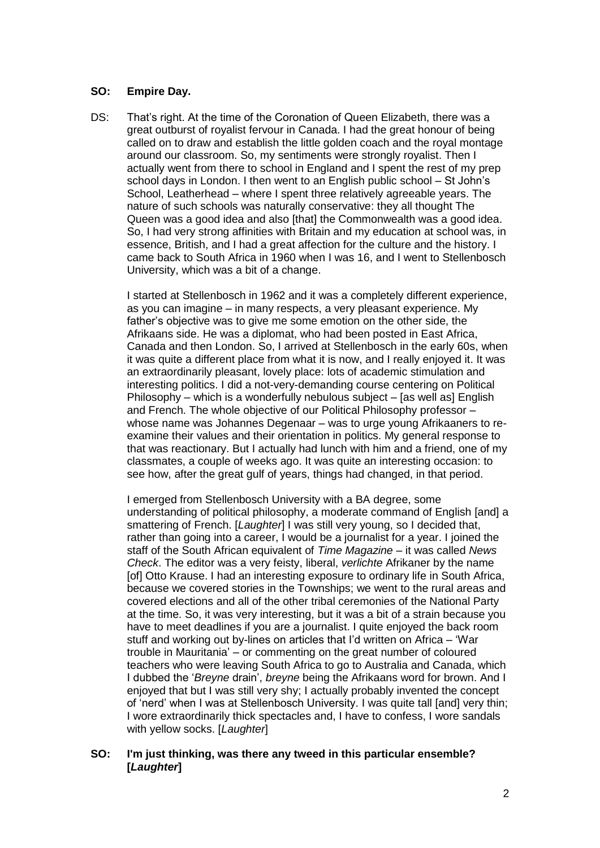# **SO: Empire Day.**

DS: That's right. At the time of the Coronation of Queen Elizabeth, there was a great outburst of royalist fervour in Canada. I had the great honour of being called on to draw and establish the little golden coach and the royal montage around our classroom. So, my sentiments were strongly royalist. Then I actually went from there to school in England and I spent the rest of my prep school days in London. I then went to an English public school – St John's School, Leatherhead – where I spent three relatively agreeable years. The nature of such schools was naturally conservative: they all thought The Queen was a good idea and also [that] the Commonwealth was a good idea. So, I had very strong affinities with Britain and my education at school was, in essence, British, and I had a great affection for the culture and the history. I came back to South Africa in 1960 when I was 16, and I went to Stellenbosch University, which was a bit of a change.

I started at Stellenbosch in 1962 and it was a completely different experience, as you can imagine – in many respects, a very pleasant experience. My father's objective was to give me some emotion on the other side, the Afrikaans side. He was a diplomat, who had been posted in East Africa, Canada and then London. So, I arrived at Stellenbosch in the early 60s, when it was quite a different place from what it is now, and I really enjoyed it. It was an extraordinarily pleasant, lovely place: lots of academic stimulation and interesting politics. I did a not-very-demanding course centering on Political Philosophy – which is a wonderfully nebulous subject – [as well as] English and French. The whole objective of our Political Philosophy professor – whose name was Johannes Degenaar – was to urge young Afrikaaners to reexamine their values and their orientation in politics. My general response to that was reactionary. But I actually had lunch with him and a friend, one of my classmates, a couple of weeks ago. It was quite an interesting occasion: to see how, after the great gulf of years, things had changed, in that period.

I emerged from Stellenbosch University with a BA degree, some understanding of political philosophy, a moderate command of English [and] a smattering of French. [*Laughter*] I was still very young, so I decided that, rather than going into a career, I would be a journalist for a year. I joined the staff of the South African equivalent of *Time Magazine* – it was called *News Check*. The editor was a very feisty, liberal, *verlichte* Afrikaner by the name [of] Otto Krause. I had an interesting exposure to ordinary life in South Africa, because we covered stories in the Townships; we went to the rural areas and covered elections and all of the other tribal ceremonies of the National Party at the time. So, it was very interesting, but it was a bit of a strain because you have to meet deadlines if you are a journalist. I quite enjoyed the back room stuff and working out by-lines on articles that I'd written on Africa – 'War trouble in Mauritania' – or commenting on the great number of coloured teachers who were leaving South Africa to go to Australia and Canada, which I dubbed the '*Breyne* drain', *breyne* being the Afrikaans word for brown. And I enjoyed that but I was still very shy; I actually probably invented the concept of 'nerd' when I was at Stellenbosch University. I was quite tall [and] very thin; I wore extraordinarily thick spectacles and, I have to confess, I wore sandals with yellow socks. [*Laughter*]

#### **SO: I'm just thinking, was there any tweed in this particular ensemble? [***Laughter***]**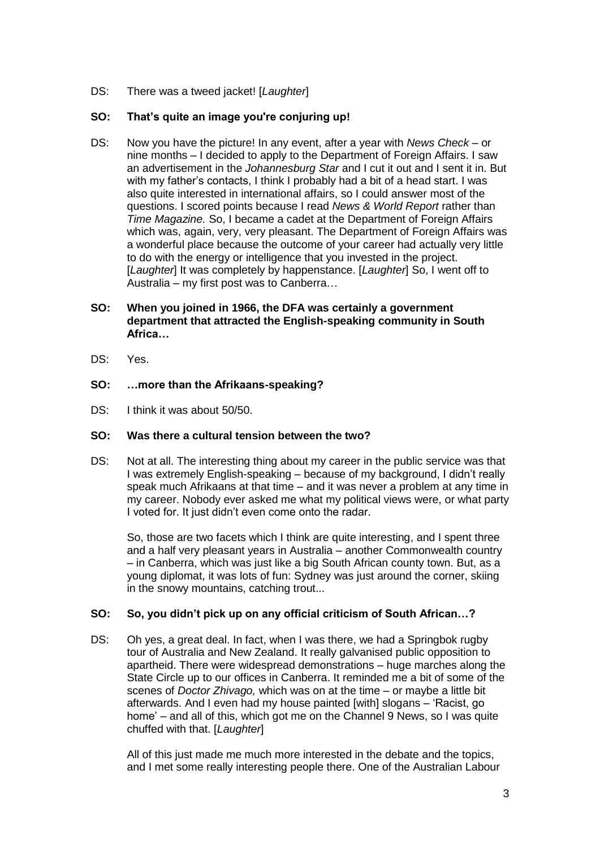DS: There was a tweed jacket! [*Laughter*]

# **SO: That's quite an image you're conjuring up!**

DS: Now you have the picture! In any event, after a year with *News Check* – or nine months – I decided to apply to the Department of Foreign Affairs. I saw an advertisement in the *Johannesburg Star* and I cut it out and I sent it in. But with my father's contacts, I think I probably had a bit of a head start. I was also quite interested in international affairs, so I could answer most of the questions. I scored points because I read *News & World Report* rather than *Time Magazine.* So, I became a cadet at the Department of Foreign Affairs which was, again, very, very pleasant. The Department of Foreign Affairs was a wonderful place because the outcome of your career had actually very little to do with the energy or intelligence that you invested in the project. [*Laughter*] It was completely by happenstance. [*Laughter*] So, I went off to Australia – my first post was to Canberra…

# **SO: When you joined in 1966, the DFA was certainly a government department that attracted the English-speaking community in South Africa…**

DS: Yes.

# **SO: …more than the Afrikaans-speaking?**

DS: I think it was about 50/50.

# **SO: Was there a cultural tension between the two?**

DS: Not at all. The interesting thing about my career in the public service was that I was extremely English-speaking – because of my background, I didn't really speak much Afrikaans at that time – and it was never a problem at any time in my career. Nobody ever asked me what my political views were, or what party I voted for. It just didn't even come onto the radar.

So, those are two facets which I think are quite interesting, and I spent three and a half very pleasant years in Australia – another Commonwealth country – in Canberra, which was just like a big South African county town. But, as a young diplomat, it was lots of fun: Sydney was just around the corner, skiing in the snowy mountains, catching trout...

# **SO: So, you didn't pick up on any official criticism of South African…?**

DS: Oh yes, a great deal. In fact, when I was there, we had a Springbok rugby tour of Australia and New Zealand. It really galvanised public opposition to apartheid. There were widespread demonstrations – huge marches along the State Circle up to our offices in Canberra. It reminded me a bit of some of the scenes of *Doctor Zhivago,* which was on at the time – or maybe a little bit afterwards. And I even had my house painted [with] slogans – 'Racist, go home' – and all of this, which got me on the Channel 9 News, so I was quite chuffed with that. [*Laughter*]

All of this just made me much more interested in the debate and the topics, and I met some really interesting people there. One of the Australian Labour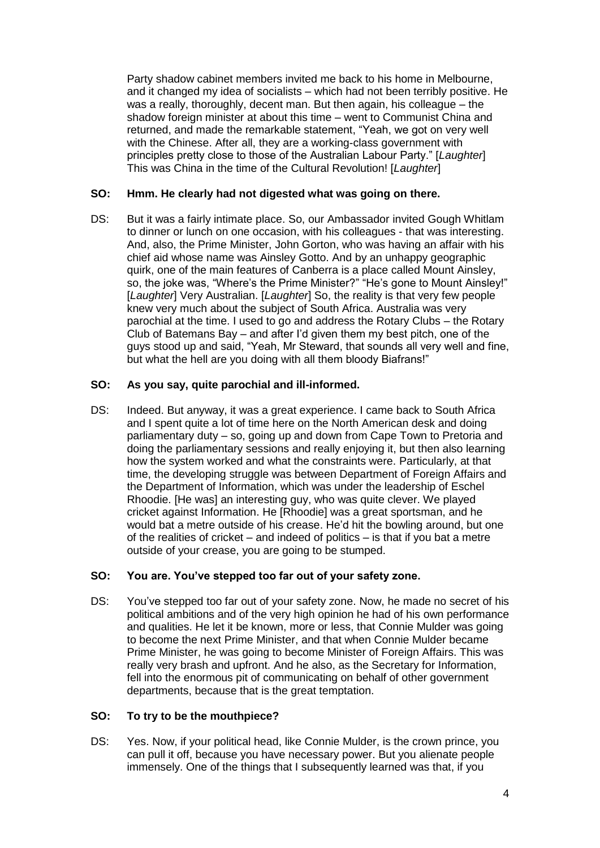Party shadow cabinet members invited me back to his home in Melbourne, and it changed my idea of socialists – which had not been terribly positive. He was a really, thoroughly, decent man. But then again, his colleague – the shadow foreign minister at about this time – went to Communist China and returned, and made the remarkable statement, "Yeah, we got on very well with the Chinese. After all, they are a working-class government with principles pretty close to those of the Australian Labour Party." [*Laughter*] This was China in the time of the Cultural Revolution! [*Laughter*]

# **SO: Hmm. He clearly had not digested what was going on there.**

DS: But it was a fairly intimate place. So, our Ambassador invited Gough Whitlam to dinner or lunch on one occasion, with his colleagues - that was interesting. And, also, the Prime Minister, John Gorton, who was having an affair with his chief aid whose name was Ainsley Gotto. And by an unhappy geographic quirk, one of the main features of Canberra is a place called Mount Ainsley, so, the joke was, "Where's the Prime Minister?" "He's gone to Mount Ainsley!" [*Laughter*] Very Australian. [*Laughter*] So, the reality is that very few people knew very much about the subject of South Africa. Australia was very parochial at the time. I used to go and address the Rotary Clubs – the Rotary Club of Batemans Bay – and after I'd given them my best pitch, one of the guys stood up and said, "Yeah, Mr Steward, that sounds all very well and fine, but what the hell are you doing with all them bloody Biafrans!"

#### **SO: As you say, quite parochial and ill-informed.**

DS: Indeed. But anyway, it was a great experience. I came back to South Africa and I spent quite a lot of time here on the North American desk and doing parliamentary duty – so, going up and down from Cape Town to Pretoria and doing the parliamentary sessions and really enjoying it, but then also learning how the system worked and what the constraints were. Particularly, at that time, the developing struggle was between Department of Foreign Affairs and the Department of Information, which was under the leadership of Eschel Rhoodie. [He was] an interesting guy, who was quite clever. We played cricket against Information. He [Rhoodie] was a great sportsman, and he would bat a metre outside of his crease. He'd hit the bowling around, but one of the realities of cricket – and indeed of politics – is that if you bat a metre outside of your crease, you are going to be stumped.

# **SO: You are. You've stepped too far out of your safety zone.**

DS: You've stepped too far out of your safety zone. Now, he made no secret of his political ambitions and of the very high opinion he had of his own performance and qualities. He let it be known, more or less, that Connie Mulder was going to become the next Prime Minister, and that when Connie Mulder became Prime Minister, he was going to become Minister of Foreign Affairs. This was really very brash and upfront. And he also, as the Secretary for Information, fell into the enormous pit of communicating on behalf of other government departments, because that is the great temptation.

#### **SO: To try to be the mouthpiece?**

DS: Yes. Now, if your political head, like Connie Mulder, is the crown prince, you can pull it off, because you have necessary power. But you alienate people immensely. One of the things that I subsequently learned was that, if you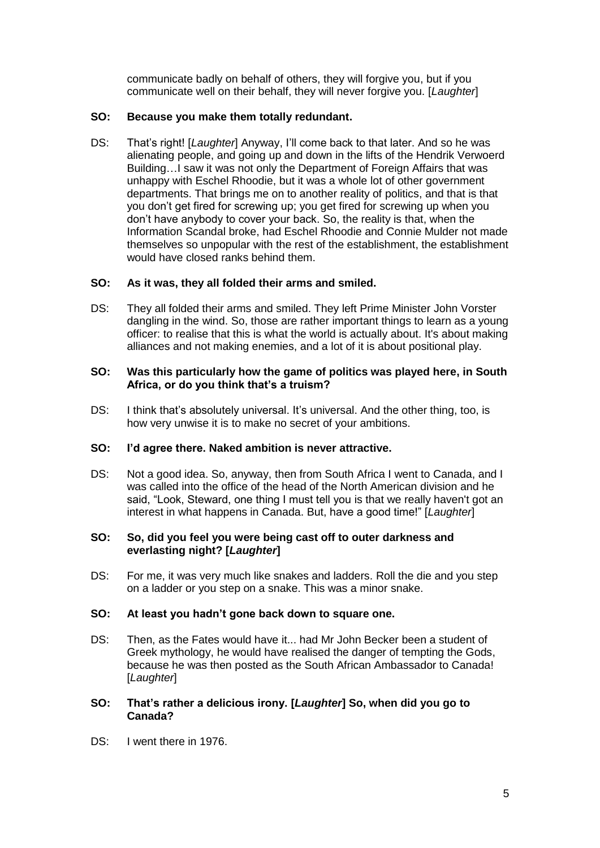communicate badly on behalf of others, they will forgive you, but if you communicate well on their behalf, they will never forgive you. [*Laughter*]

# **SO: Because you make them totally redundant.**

DS: That's right! [*Laughter*] Anyway, I'll come back to that later. And so he was alienating people, and going up and down in the lifts of the Hendrik Verwoerd Building…I saw it was not only the Department of Foreign Affairs that was unhappy with Eschel Rhoodie, but it was a whole lot of other government departments. That brings me on to another reality of politics, and that is that you don't get fired for screwing up; you get fired for screwing up when you don't have anybody to cover your back. So, the reality is that, when the Information Scandal broke, had Eschel Rhoodie and Connie Mulder not made themselves so unpopular with the rest of the establishment, the establishment would have closed ranks behind them.

# **SO: As it was, they all folded their arms and smiled.**

DS: They all folded their arms and smiled. They left Prime Minister John Vorster dangling in the wind. So, those are rather important things to learn as a young officer: to realise that this is what the world is actually about. It's about making alliances and not making enemies, and a lot of it is about positional play.

# **SO: Was this particularly how the game of politics was played here, in South Africa, or do you think that's a truism?**

DS: I think that's absolutely universal. It's universal. And the other thing, too, is how very unwise it is to make no secret of your ambitions.

# **SO: I'd agree there. Naked ambition is never attractive.**

DS: Not a good idea. So, anyway, then from South Africa I went to Canada, and I was called into the office of the head of the North American division and he said, "Look, Steward, one thing I must tell you is that we really haven't got an interest in what happens in Canada. But, have a good time!" [*Laughter*]

#### **SO: So, did you feel you were being cast off to outer darkness and everlasting night? [***Laughter***]**

DS: For me, it was very much like snakes and ladders. Roll the die and you step on a ladder or you step on a snake. This was a minor snake.

# **SO: At least you hadn't gone back down to square one.**

- DS: Then, as the Fates would have it... had Mr John Becker been a student of Greek mythology, he would have realised the danger of tempting the Gods, because he was then posted as the South African Ambassador to Canada! [*Laughter*]
- **SO: That's rather a delicious irony. [***Laughter***] So, when did you go to Canada?**
- DS: I went there in 1976.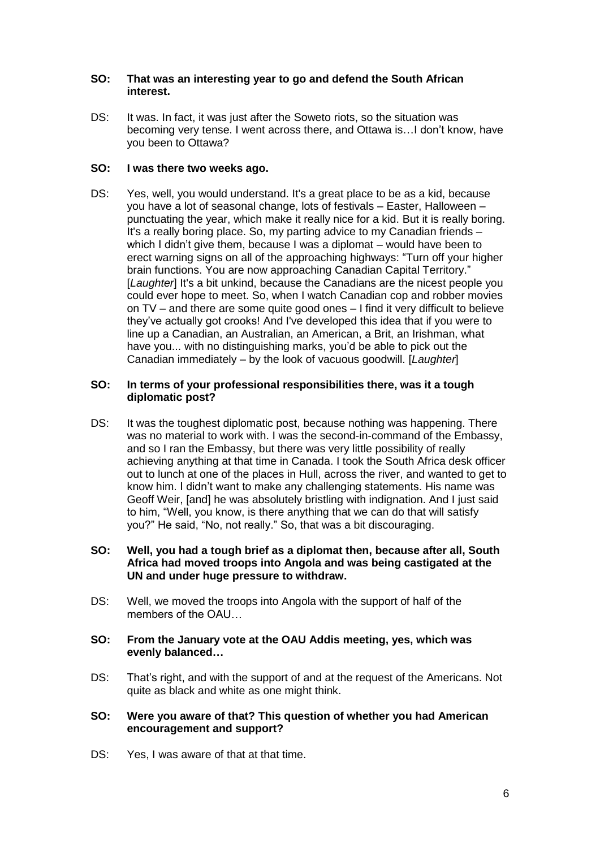# **SO: That was an interesting year to go and defend the South African interest.**

DS: It was. In fact, it was just after the Soweto riots, so the situation was becoming very tense. I went across there, and Ottawa is…I don't know, have you been to Ottawa?

# **SO: I was there two weeks ago.**

DS: Yes, well, you would understand. It's a great place to be as a kid, because you have a lot of seasonal change, lots of festivals – Easter, Halloween – punctuating the year, which make it really nice for a kid. But it is really boring. It's a really boring place. So, my parting advice to my Canadian friends – which I didn't give them, because I was a diplomat – would have been to erect warning signs on all of the approaching highways: "Turn off your higher brain functions. You are now approaching Canadian Capital Territory." [*Laughter*] It's a bit unkind, because the Canadians are the nicest people you could ever hope to meet. So, when I watch Canadian cop and robber movies on TV – and there are some quite good ones – I find it very difficult to believe they've actually got crooks! And I've developed this idea that if you were to line up a Canadian, an Australian, an American, a Brit, an Irishman, what have you... with no distinguishing marks, you'd be able to pick out the Canadian immediately – by the look of vacuous goodwill. [*Laughter*]

#### **SO: In terms of your professional responsibilities there, was it a tough diplomatic post?**

- DS: It was the toughest diplomatic post, because nothing was happening. There was no material to work with. I was the second-in-command of the Embassy, and so I ran the Embassy, but there was very little possibility of really achieving anything at that time in Canada. I took the South Africa desk officer out to lunch at one of the places in Hull, across the river, and wanted to get to know him. I didn't want to make any challenging statements. His name was Geoff Weir, [and] he was absolutely bristling with indignation. And I just said to him, "Well, you know, is there anything that we can do that will satisfy you?" He said, "No, not really." So, that was a bit discouraging.
- **SO: Well, you had a tough brief as a diplomat then, because after all, South Africa had moved troops into Angola and was being castigated at the UN and under huge pressure to withdraw.**
- DS: Well, we moved the troops into Angola with the support of half of the members of the OAU
- **SO: From the January vote at the OAU Addis meeting, yes, which was evenly balanced…**
- DS: That's right, and with the support of and at the request of the Americans. Not quite as black and white as one might think.

#### **SO: Were you aware of that? This question of whether you had American encouragement and support?**

DS: Yes, I was aware of that at that time.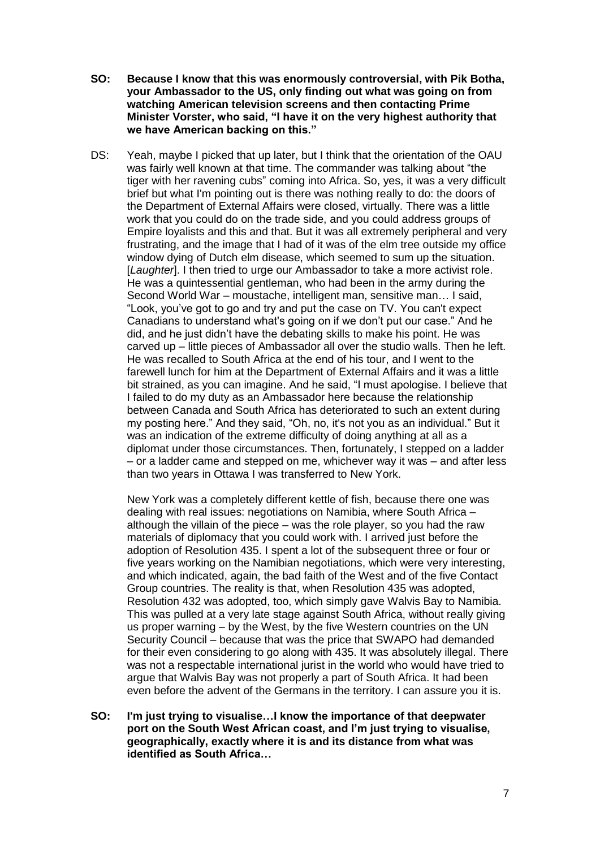- **SO: Because I know that this was enormously controversial, with Pik Botha, your Ambassador to the US, only finding out what was going on from watching American television screens and then contacting Prime Minister Vorster, who said, "I have it on the very highest authority that we have American backing on this."**
- DS: Yeah, maybe I picked that up later, but I think that the orientation of the OAU was fairly well known at that time. The commander was talking about "the tiger with her ravening cubs" coming into Africa. So, yes, it was a very difficult brief but what I'm pointing out is there was nothing really to do: the doors of the Department of External Affairs were closed, virtually. There was a little work that you could do on the trade side, and you could address groups of Empire loyalists and this and that. But it was all extremely peripheral and very frustrating, and the image that I had of it was of the elm tree outside my office window dying of Dutch elm disease, which seemed to sum up the situation. [*Laughter*]. I then tried to urge our Ambassador to take a more activist role. He was a quintessential gentleman, who had been in the army during the Second World War – moustache, intelligent man, sensitive man… I said, "Look, you've got to go and try and put the case on TV. You can't expect Canadians to understand what's going on if we don't put our case." And he did, and he just didn't have the debating skills to make his point. He was carved up – little pieces of Ambassador all over the studio walls. Then he left. He was recalled to South Africa at the end of his tour, and I went to the farewell lunch for him at the Department of External Affairs and it was a little bit strained, as you can imagine. And he said, "I must apologise. I believe that I failed to do my duty as an Ambassador here because the relationship between Canada and South Africa has deteriorated to such an extent during my posting here." And they said, "Oh, no, it's not you as an individual." But it was an indication of the extreme difficulty of doing anything at all as a diplomat under those circumstances. Then, fortunately, I stepped on a ladder – or a ladder came and stepped on me, whichever way it was – and after less than two years in Ottawa I was transferred to New York.

New York was a completely different kettle of fish, because there one was dealing with real issues: negotiations on Namibia, where South Africa – although the villain of the piece – was the role player, so you had the raw materials of diplomacy that you could work with. I arrived just before the adoption of Resolution 435. I spent a lot of the subsequent three or four or five years working on the Namibian negotiations, which were very interesting, and which indicated, again, the bad faith of the West and of the five Contact Group countries. The reality is that, when Resolution 435 was adopted, Resolution 432 was adopted, too, which simply gave Walvis Bay to Namibia. This was pulled at a very late stage against South Africa, without really giving us proper warning – by the West, by the five Western countries on the UN Security Council – because that was the price that SWAPO had demanded for their even considering to go along with 435. It was absolutely illegal. There was not a respectable international jurist in the world who would have tried to argue that Walvis Bay was not properly a part of South Africa. It had been even before the advent of the Germans in the territory. I can assure you it is.

**SO: I'm just trying to visualise…I know the importance of that deepwater port on the South West African coast, and I'm just trying to visualise, geographically, exactly where it is and its distance from what was identified as South Africa…**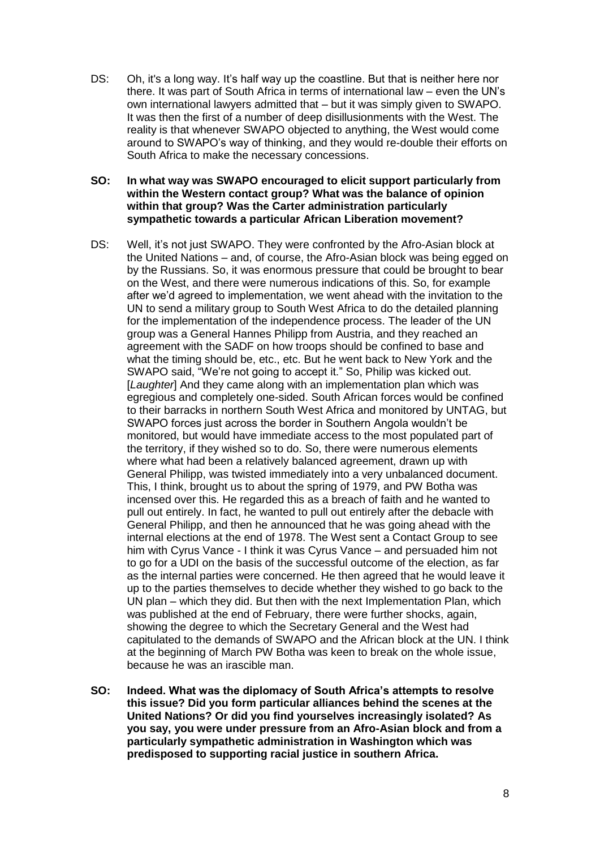- DS: Oh, it's a long way. It's half way up the coastline. But that is neither here nor there. It was part of South Africa in terms of international law – even the UN's own international lawyers admitted that – but it was simply given to SWAPO. It was then the first of a number of deep disillusionments with the West. The reality is that whenever SWAPO objected to anything, the West would come around to SWAPO's way of thinking, and they would re-double their efforts on South Africa to make the necessary concessions.
- **SO: In what way was SWAPO encouraged to elicit support particularly from within the Western contact group? What was the balance of opinion within that group? Was the Carter administration particularly sympathetic towards a particular African Liberation movement?**
- DS: Well, it's not just SWAPO. They were confronted by the Afro-Asian block at the United Nations – and, of course, the Afro-Asian block was being egged on by the Russians. So, it was enormous pressure that could be brought to bear on the West, and there were numerous indications of this. So, for example after we'd agreed to implementation, we went ahead with the invitation to the UN to send a military group to South West Africa to do the detailed planning for the implementation of the independence process. The leader of the UN group was a General Hannes Philipp from Austria, and they reached an agreement with the SADF on how troops should be confined to base and what the timing should be, etc., etc. But he went back to New York and the SWAPO said, "We're not going to accept it." So, Philip was kicked out. [*Laughter*] And they came along with an implementation plan which was egregious and completely one-sided. South African forces would be confined to their barracks in northern South West Africa and monitored by UNTAG, but SWAPO forces just across the border in Southern Angola wouldn't be monitored, but would have immediate access to the most populated part of the territory, if they wished so to do. So, there were numerous elements where what had been a relatively balanced agreement, drawn up with General Philipp, was twisted immediately into a very unbalanced document. This, I think, brought us to about the spring of 1979, and PW Botha was incensed over this. He regarded this as a breach of faith and he wanted to pull out entirely. In fact, he wanted to pull out entirely after the debacle with General Philipp, and then he announced that he was going ahead with the internal elections at the end of 1978. The West sent a Contact Group to see him with Cyrus Vance - I think it was Cyrus Vance – and persuaded him not to go for a UDI on the basis of the successful outcome of the election, as far as the internal parties were concerned. He then agreed that he would leave it up to the parties themselves to decide whether they wished to go back to the UN plan – which they did. But then with the next Implementation Plan, which was published at the end of February, there were further shocks, again, showing the degree to which the Secretary General and the West had capitulated to the demands of SWAPO and the African block at the UN. I think at the beginning of March PW Botha was keen to break on the whole issue, because he was an irascible man.
- **SO: Indeed. What was the diplomacy of South Africa's attempts to resolve this issue? Did you form particular alliances behind the scenes at the United Nations? Or did you find yourselves increasingly isolated? As you say, you were under pressure from an Afro-Asian block and from a particularly sympathetic administration in Washington which was predisposed to supporting racial justice in southern Africa.**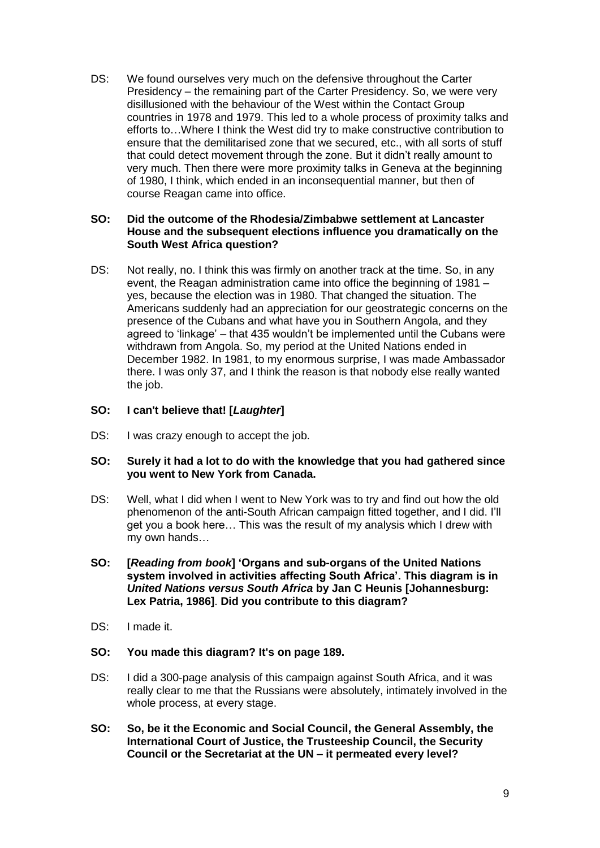DS: We found ourselves very much on the defensive throughout the Carter Presidency – the remaining part of the Carter Presidency. So, we were very disillusioned with the behaviour of the West within the Contact Group countries in 1978 and 1979. This led to a whole process of proximity talks and efforts to…Where I think the West did try to make constructive contribution to ensure that the demilitarised zone that we secured, etc., with all sorts of stuff that could detect movement through the zone. But it didn't really amount to very much. Then there were more proximity talks in Geneva at the beginning of 1980, I think, which ended in an inconsequential manner, but then of course Reagan came into office.

#### **SO: Did the outcome of the Rhodesia/Zimbabwe settlement at Lancaster House and the subsequent elections influence you dramatically on the South West Africa question?**

DS: Not really, no. I think this was firmly on another track at the time. So, in any event, the Reagan administration came into office the beginning of 1981 – yes, because the election was in 1980. That changed the situation. The Americans suddenly had an appreciation for our geostrategic concerns on the presence of the Cubans and what have you in Southern Angola, and they agreed to 'linkage' – that 435 wouldn't be implemented until the Cubans were withdrawn from Angola. So, my period at the United Nations ended in December 1982. In 1981, to my enormous surprise, I was made Ambassador there. I was only 37, and I think the reason is that nobody else really wanted the job.

# **SO: I can't believe that! [***Laughter***]**

DS: I was crazy enough to accept the job.

#### **SO: Surely it had a lot to do with the knowledge that you had gathered since you went to New York from Canada.**

- DS: Well, what I did when I went to New York was to try and find out how the old phenomenon of the anti-South African campaign fitted together, and I did. I'll get you a book here… This was the result of my analysis which I drew with my own hands…
- **SO: [***Reading from book***] 'Organs and sub-organs of the United Nations system involved in activities affecting South Africa'. This diagram is in**  *United Nations versus South Africa* **by Jan C Heunis [Johannesburg: Lex Patria, 1986]**. **Did you contribute to this diagram?**
- DS: I made it.
- **SO: You made this diagram? It's on page 189.**
- DS: I did a 300-page analysis of this campaign against South Africa, and it was really clear to me that the Russians were absolutely, intimately involved in the whole process, at every stage.
- **SO: So, be it the Economic and Social Council, the General Assembly, the International Court of Justice, the Trusteeship Council, the Security Council or the Secretariat at the UN – it permeated every level?**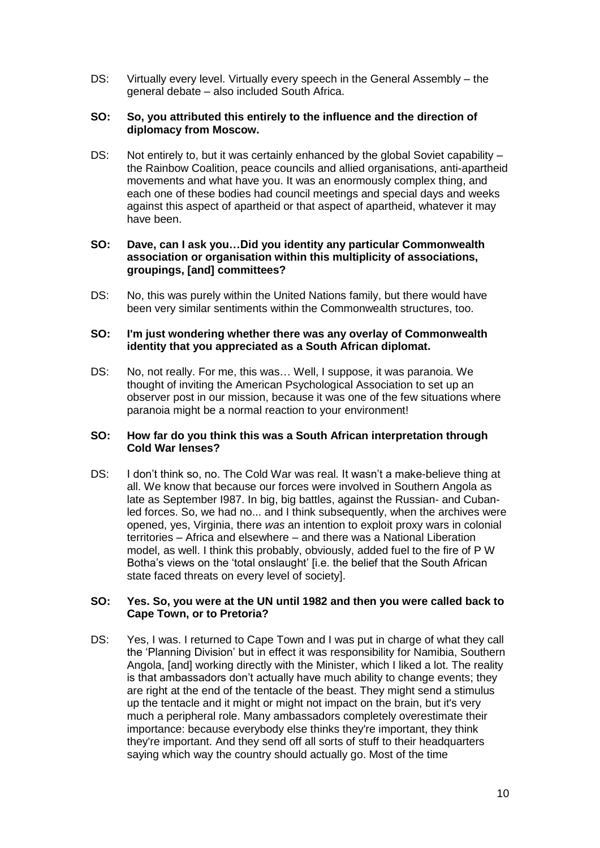DS: Virtually every level. Virtually every speech in the General Assembly – the general debate – also included South Africa.

## **SO: So, you attributed this entirely to the influence and the direction of diplomacy from Moscow.**

DS: Not entirely to, but it was certainly enhanced by the global Soviet capability – the Rainbow Coalition, peace councils and allied organisations, anti-apartheid movements and what have you. It was an enormously complex thing, and each one of these bodies had council meetings and special days and weeks against this aspect of apartheid or that aspect of apartheid, whatever it may have been.

#### **SO: Dave, can I ask you…Did you identity any particular Commonwealth association or organisation within this multiplicity of associations, groupings, [and] committees?**

DS: No, this was purely within the United Nations family, but there would have been very similar sentiments within the Commonwealth structures, too.

## **SO: I'm just wondering whether there was any overlay of Commonwealth identity that you appreciated as a South African diplomat.**

DS: No, not really. For me, this was… Well, I suppose, it was paranoia. We thought of inviting the American Psychological Association to set up an observer post in our mission, because it was one of the few situations where paranoia might be a normal reaction to your environment!

#### **SO: How far do you think this was a South African interpretation through Cold War lenses?**

DS: I don't think so, no. The Cold War was real. It wasn't a make-believe thing at all. We know that because our forces were involved in Southern Angola as late as September I987. In big, big battles, against the Russian- and Cubanled forces. So, we had no... and I think subsequently, when the archives were opened, yes, Virginia, there *was* an intention to exploit proxy wars in colonial territories – Africa and elsewhere – and there was a National Liberation model, as well. I think this probably, obviously, added fuel to the fire of P W Botha's views on the 'total onslaught' [i.e. the belief that the South African state faced threats on every level of society].

#### **SO: Yes. So, you were at the UN until 1982 and then you were called back to Cape Town, or to Pretoria?**

DS: Yes, I was. I returned to Cape Town and I was put in charge of what they call the 'Planning Division' but in effect it was responsibility for Namibia, Southern Angola, [and] working directly with the Minister, which I liked a lot. The reality is that ambassadors don't actually have much ability to change events; they are right at the end of the tentacle of the beast. They might send a stimulus up the tentacle and it might or might not impact on the brain, but it's very much a peripheral role. Many ambassadors completely overestimate their importance: because everybody else thinks they're important, they think they're important. And they send off all sorts of stuff to their headquarters saying which way the country should actually go. Most of the time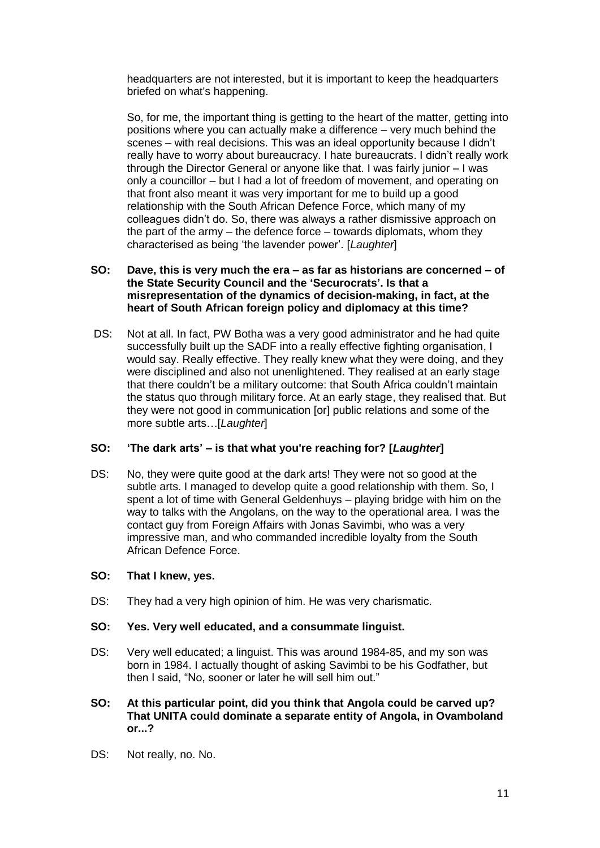headquarters are not interested, but it is important to keep the headquarters briefed on what's happening.

So, for me, the important thing is getting to the heart of the matter, getting into positions where you can actually make a difference – very much behind the scenes – with real decisions. This was an ideal opportunity because I didn't really have to worry about bureaucracy. I hate bureaucrats. I didn't really work through the Director General or anyone like that. I was fairly junior – I was only a councillor – but I had a lot of freedom of movement, and operating on that front also meant it was very important for me to build up a good relationship with the South African Defence Force, which many of my colleagues didn't do. So, there was always a rather dismissive approach on the part of the army – the defence force – towards diplomats, whom they characterised as being 'the lavender power'. [*Laughter*]

#### **SO: Dave, this is very much the era – as far as historians are concerned – of the State Security Council and the 'Securocrats'. Is that a misrepresentation of the dynamics of decision-making, in fact, at the heart of South African foreign policy and diplomacy at this time?**

DS: Not at all. In fact, PW Botha was a very good administrator and he had quite successfully built up the SADF into a really effective fighting organisation, I would say. Really effective. They really knew what they were doing, and they were disciplined and also not unenlightened. They realised at an early stage that there couldn't be a military outcome: that South Africa couldn't maintain the status quo through military force. At an early stage, they realised that. But they were not good in communication [or] public relations and some of the more subtle arts…[*Laughter*]

# **SO: 'The dark arts' – is that what you're reaching for? [***Laughter***]**

DS: No, they were quite good at the dark arts! They were not so good at the subtle arts. I managed to develop quite a good relationship with them. So, I spent a lot of time with General Geldenhuys – playing bridge with him on the way to talks with the Angolans, on the way to the operational area. I was the contact guy from Foreign Affairs with Jonas Savimbi, who was a very impressive man, and who commanded incredible loyalty from the South African Defence Force.

#### **SO: That I knew, yes.**

DS: They had a very high opinion of him. He was very charismatic.

# **SO: Yes. Very well educated, and a consummate linguist.**

- DS: Very well educated; a linguist. This was around 1984-85, and my son was born in 1984. I actually thought of asking Savimbi to be his Godfather, but then I said, "No, sooner or later he will sell him out."
- **SO: At this particular point, did you think that Angola could be carved up? That UNITA could dominate a separate entity of Angola, in Ovamboland or...?**
- DS: Not really, no. No.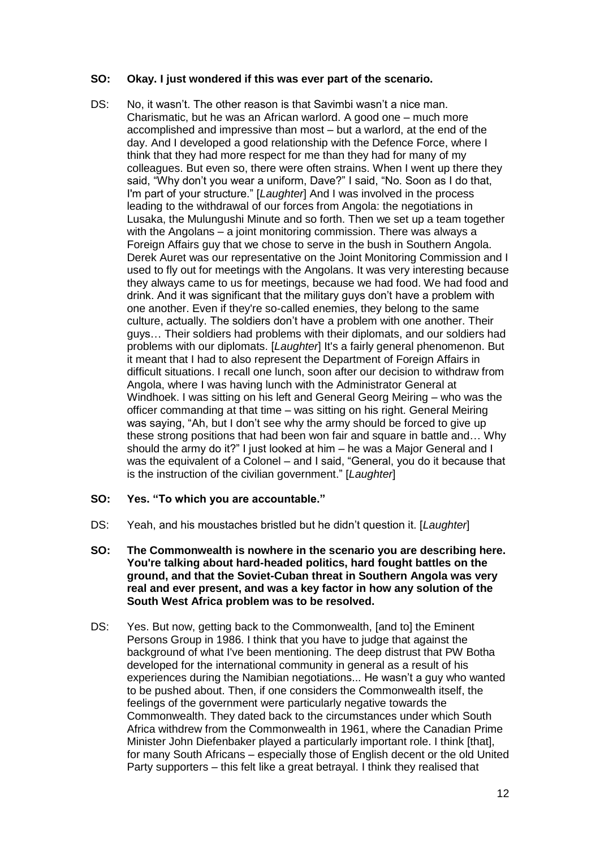#### **SO: Okay. I just wondered if this was ever part of the scenario.**

- DS: No, it wasn't. The other reason is that Savimbi wasn't a nice man. Charismatic, but he was an African warlord. A good one – much more accomplished and impressive than most – but a warlord, at the end of the day. And I developed a good relationship with the Defence Force, where I think that they had more respect for me than they had for many of my colleagues. But even so, there were often strains. When I went up there they said, "Why don't you wear a uniform, Dave?" I said, "No. Soon as I do that, I'm part of your structure." [*Laughter*] And I was involved in the process leading to the withdrawal of our forces from Angola: the negotiations in Lusaka, the Mulungushi Minute and so forth. Then we set up a team together with the Angolans – a joint monitoring commission. There was always a Foreign Affairs guy that we chose to serve in the bush in Southern Angola. Derek Auret was our representative on the Joint Monitoring Commission and I used to fly out for meetings with the Angolans. It was very interesting because they always came to us for meetings, because we had food. We had food and drink. And it was significant that the military guys don't have a problem with one another. Even if they're so-called enemies, they belong to the same culture, actually. The soldiers don't have a problem with one another. Their guys… Their soldiers had problems with their diplomats, and our soldiers had problems with our diplomats. [*Laughter*] It's a fairly general phenomenon. But it meant that I had to also represent the Department of Foreign Affairs in difficult situations. I recall one lunch, soon after our decision to withdraw from Angola, where I was having lunch with the Administrator General at Windhoek. I was sitting on his left and General Georg Meiring – who was the officer commanding at that time – was sitting on his right. General Meiring was saying, "Ah, but I don't see why the army should be forced to give up these strong positions that had been won fair and square in battle and… Why should the army do it?" I just looked at him – he was a Major General and I was the equivalent of a Colonel – and I said, "General, you do it because that is the instruction of the civilian government." [*Laughter*]
- **SO: Yes. "To which you are accountable."**
- DS: Yeah, and his moustaches bristled but he didn't question it. [*Laughter*]
- **SO: The Commonwealth is nowhere in the scenario you are describing here. You're talking about hard-headed politics, hard fought battles on the ground, and that the Soviet-Cuban threat in Southern Angola was very real and ever present, and was a key factor in how any solution of the South West Africa problem was to be resolved.**
- DS: Yes. But now, getting back to the Commonwealth, [and to] the Eminent Persons Group in 1986. I think that you have to judge that against the background of what I've been mentioning. The deep distrust that PW Botha developed for the international community in general as a result of his experiences during the Namibian negotiations... He wasn't a guy who wanted to be pushed about. Then, if one considers the Commonwealth itself, the feelings of the government were particularly negative towards the Commonwealth. They dated back to the circumstances under which South Africa withdrew from the Commonwealth in 1961, where the Canadian Prime Minister John Diefenbaker played a particularly important role. I think [that], for many South Africans – especially those of English decent or the old United Party supporters – this felt like a great betrayal. I think they realised that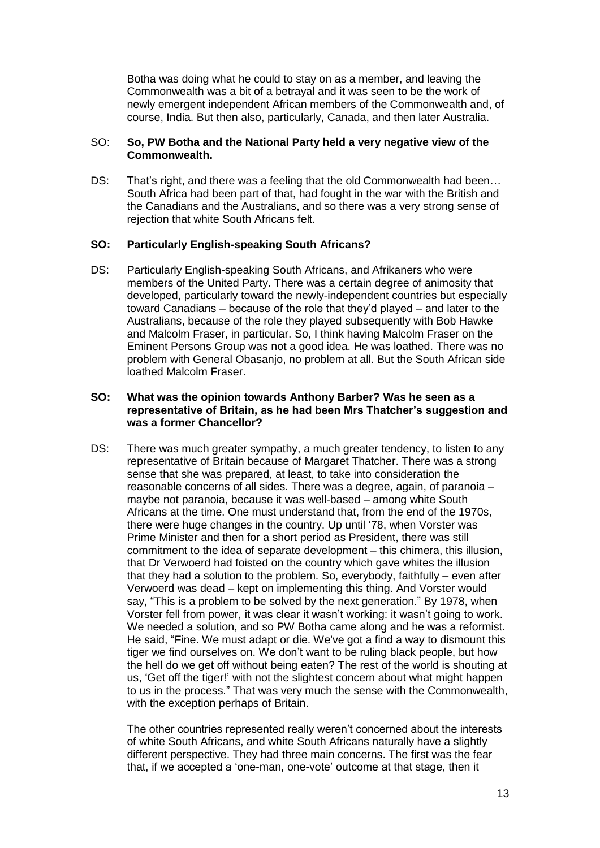Botha was doing what he could to stay on as a member, and leaving the Commonwealth was a bit of a betrayal and it was seen to be the work of newly emergent independent African members of the Commonwealth and, of course, India. But then also, particularly, Canada, and then later Australia.

# SO: **So, PW Botha and the National Party held a very negative view of the Commonwealth.**

DS: That's right, and there was a feeling that the old Commonwealth had been… South Africa had been part of that, had fought in the war with the British and the Canadians and the Australians, and so there was a very strong sense of rejection that white South Africans felt.

# **SO: Particularly English-speaking South Africans?**

DS: Particularly English-speaking South Africans, and Afrikaners who were members of the United Party. There was a certain degree of animosity that developed, particularly toward the newly-independent countries but especially toward Canadians – because of the role that they'd played – and later to the Australians, because of the role they played subsequently with Bob Hawke and Malcolm Fraser, in particular. So, I think having Malcolm Fraser on the Eminent Persons Group was not a good idea. He was loathed. There was no problem with General Obasanjo, no problem at all. But the South African side loathed Malcolm Fraser.

# **SO: What was the opinion towards Anthony Barber? Was he seen as a representative of Britain, as he had been Mrs Thatcher's suggestion and was a former Chancellor?**

DS: There was much greater sympathy, a much greater tendency, to listen to any representative of Britain because of Margaret Thatcher. There was a strong sense that she was prepared, at least, to take into consideration the reasonable concerns of all sides. There was a degree, again, of paranoia – maybe not paranoia, because it was well-based – among white South Africans at the time. One must understand that, from the end of the 1970s, there were huge changes in the country. Up until '78, when Vorster was Prime Minister and then for a short period as President, there was still commitment to the idea of separate development – this chimera, this illusion, that Dr Verwoerd had foisted on the country which gave whites the illusion that they had a solution to the problem. So, everybody, faithfully – even after Verwoerd was dead – kept on implementing this thing. And Vorster would say, "This is a problem to be solved by the next generation." By 1978, when Vorster fell from power, it was clear it wasn't working: it wasn't going to work. We needed a solution, and so PW Botha came along and he was a reformist. He said, "Fine. We must adapt or die. We've got a find a way to dismount this tiger we find ourselves on. We don't want to be ruling black people, but how the hell do we get off without being eaten? The rest of the world is shouting at us, 'Get off the tiger!' with not the slightest concern about what might happen to us in the process." That was very much the sense with the Commonwealth, with the exception perhaps of Britain.

The other countries represented really weren't concerned about the interests of white South Africans, and white South Africans naturally have a slightly different perspective. They had three main concerns. The first was the fear that, if we accepted a 'one-man, one-vote' outcome at that stage, then it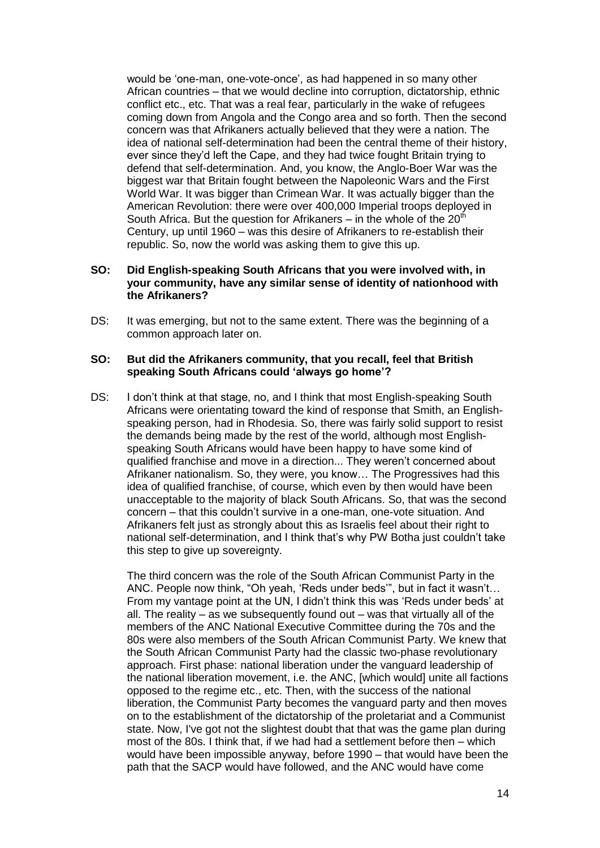would be 'one-man, one-vote-once', as had happened in so many other African countries – that we would decline into corruption, dictatorship, ethnic conflict etc., etc. That was a real fear, particularly in the wake of refugees coming down from Angola and the Congo area and so forth. Then the second concern was that Afrikaners actually believed that they were a nation. The idea of national self-determination had been the central theme of their history, ever since they'd left the Cape, and they had twice fought Britain trying to defend that self-determination. And, you know, the Anglo-Boer War was the biggest war that Britain fought between the Napoleonic Wars and the First World War. It was bigger than Crimean War. It was actually bigger than the American Revolution: there were over 400,000 Imperial troops deployed in South Africa. But the question for Afrikaners – in the whole of the  $20<sup>th</sup>$ Century, up until 1960 – was this desire of Afrikaners to re-establish their republic. So, now the world was asking them to give this up.

### **SO: Did English-speaking South Africans that you were involved with, in your community, have any similar sense of identity of nationhood with the Afrikaners?**

DS: It was emerging, but not to the same extent. There was the beginning of a common approach later on.

#### **SO: But did the Afrikaners community, that you recall, feel that British speaking South Africans could 'always go home'?**

DS: I don't think at that stage, no, and I think that most English-speaking South Africans were orientating toward the kind of response that Smith, an Englishspeaking person, had in Rhodesia. So, there was fairly solid support to resist the demands being made by the rest of the world, although most Englishspeaking South Africans would have been happy to have some kind of qualified franchise and move in a direction... They weren't concerned about Afrikaner nationalism. So, they were, you know… The Progressives had this idea of qualified franchise, of course, which even by then would have been unacceptable to the majority of black South Africans. So, that was the second concern – that this couldn't survive in a one-man, one-vote situation. And Afrikaners felt just as strongly about this as Israelis feel about their right to national self-determination, and I think that's why PW Botha just couldn't take this step to give up sovereignty.

The third concern was the role of the South African Communist Party in the ANC. People now think, "Oh yeah, 'Reds under beds'", but in fact it wasn't… From my vantage point at the UN, I didn't think this was 'Reds under beds' at all. The reality – as we subsequently found out – was that virtually all of the members of the ANC National Executive Committee during the 70s and the 80s were also members of the South African Communist Party. We knew that the South African Communist Party had the classic two-phase revolutionary approach. First phase: national liberation under the vanguard leadership of the national liberation movement, i.e. the ANC, [which would] unite all factions opposed to the regime etc., etc. Then, with the success of the national liberation, the Communist Party becomes the vanguard party and then moves on to the establishment of the dictatorship of the proletariat and a Communist state. Now, I've got not the slightest doubt that that was the game plan during most of the 80s. I think that, if we had had a settlement before then – which would have been impossible anyway, before 1990 – that would have been the path that the SACP would have followed, and the ANC would have come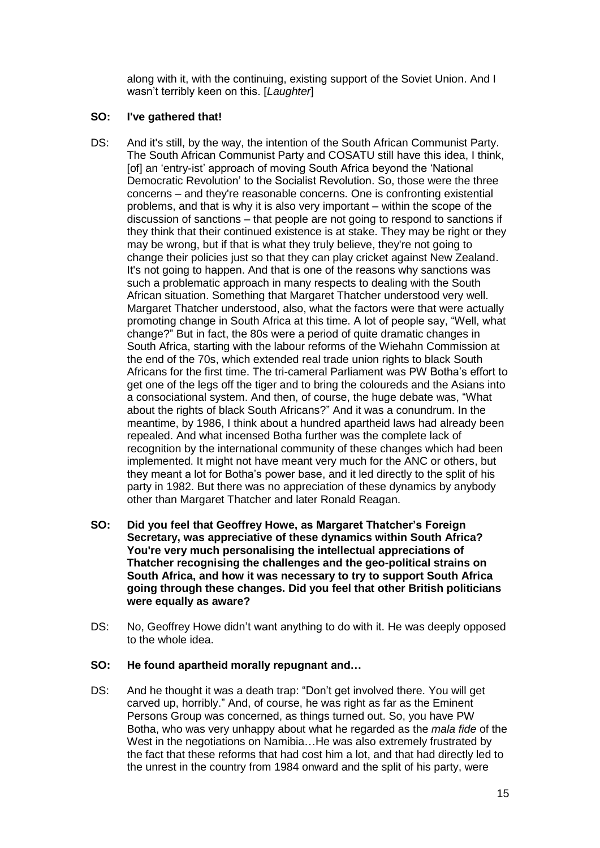along with it, with the continuing, existing support of the Soviet Union. And I wasn't terribly keen on this. [*Laughter*]

# **SO: I've gathered that!**

- DS: And it's still, by the way, the intention of the South African Communist Party. The South African Communist Party and COSATU still have this idea, I think, [of] an 'entry-ist' approach of moving South Africa beyond the 'National Democratic Revolution' to the Socialist Revolution. So, those were the three concerns – and they're reasonable concerns. One is confronting existential problems, and that is why it is also very important – within the scope of the discussion of sanctions – that people are not going to respond to sanctions if they think that their continued existence is at stake. They may be right or they may be wrong, but if that is what they truly believe, they're not going to change their policies just so that they can play cricket against New Zealand. It's not going to happen. And that is one of the reasons why sanctions was such a problematic approach in many respects to dealing with the South African situation. Something that Margaret Thatcher understood very well. Margaret Thatcher understood, also, what the factors were that were actually promoting change in South Africa at this time. A lot of people say, "Well, what change?" But in fact, the 80s were a period of quite dramatic changes in South Africa, starting with the labour reforms of the Wiehahn Commission at the end of the 70s, which extended real trade union rights to black South Africans for the first time. The tri-cameral Parliament was PW Botha's effort to get one of the legs off the tiger and to bring the coloureds and the Asians into a consociational system. And then, of course, the huge debate was, "What about the rights of black South Africans?" And it was a conundrum. In the meantime, by 1986, I think about a hundred apartheid laws had already been repealed. And what incensed Botha further was the complete lack of recognition by the international community of these changes which had been implemented. It might not have meant very much for the ANC or others, but they meant a lot for Botha's power base, and it led directly to the split of his party in 1982. But there was no appreciation of these dynamics by anybody other than Margaret Thatcher and later Ronald Reagan.
- **SO: Did you feel that Geoffrey Howe, as Margaret Thatcher's Foreign Secretary, was appreciative of these dynamics within South Africa? You're very much personalising the intellectual appreciations of Thatcher recognising the challenges and the geo-political strains on South Africa, and how it was necessary to try to support South Africa going through these changes. Did you feel that other British politicians were equally as aware?**
- DS: No, Geoffrey Howe didn't want anything to do with it. He was deeply opposed to the whole idea.

# **SO: He found apartheid morally repugnant and…**

DS: And he thought it was a death trap: "Don't get involved there. You will get carved up, horribly." And, of course, he was right as far as the Eminent Persons Group was concerned, as things turned out. So, you have PW Botha, who was very unhappy about what he regarded as the *mala fide* of the West in the negotiations on Namibia...He was also extremely frustrated by the fact that these reforms that had cost him a lot, and that had directly led to the unrest in the country from 1984 onward and the split of his party, were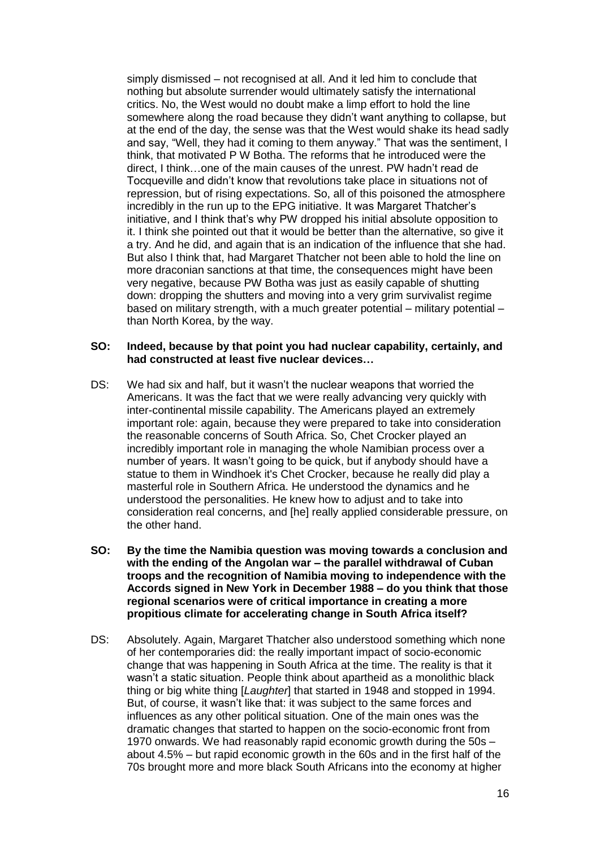simply dismissed – not recognised at all. And it led him to conclude that nothing but absolute surrender would ultimately satisfy the international critics. No, the West would no doubt make a limp effort to hold the line somewhere along the road because they didn't want anything to collapse, but at the end of the day, the sense was that the West would shake its head sadly and say, "Well, they had it coming to them anyway." That was the sentiment, I think, that motivated P W Botha. The reforms that he introduced were the direct, I think…one of the main causes of the unrest. PW hadn't read de Tocqueville and didn't know that revolutions take place in situations not of repression, but of rising expectations. So, all of this poisoned the atmosphere incredibly in the run up to the EPG initiative. It was Margaret Thatcher's initiative, and I think that's why PW dropped his initial absolute opposition to it. I think she pointed out that it would be better than the alternative, so give it a try. And he did, and again that is an indication of the influence that she had. But also I think that, had Margaret Thatcher not been able to hold the line on more draconian sanctions at that time, the consequences might have been very negative, because PW Botha was just as easily capable of shutting down: dropping the shutters and moving into a very grim survivalist regime based on military strength, with a much greater potential – military potential – than North Korea, by the way.

#### **SO: Indeed, because by that point you had nuclear capability, certainly, and had constructed at least five nuclear devices…**

- DS: We had six and half, but it wasn't the nuclear weapons that worried the Americans. It was the fact that we were really advancing very quickly with inter-continental missile capability. The Americans played an extremely important role: again, because they were prepared to take into consideration the reasonable concerns of South Africa. So, Chet Crocker played an incredibly important role in managing the whole Namibian process over a number of years. It wasn't going to be quick, but if anybody should have a statue to them in Windhoek it's Chet Crocker, because he really did play a masterful role in Southern Africa. He understood the dynamics and he understood the personalities. He knew how to adjust and to take into consideration real concerns, and [he] really applied considerable pressure, on the other hand.
- **SO: By the time the Namibia question was moving towards a conclusion and with the ending of the Angolan war – the parallel withdrawal of Cuban troops and the recognition of Namibia moving to independence with the Accords signed in New York in December 1988 – do you think that those regional scenarios were of critical importance in creating a more propitious climate for accelerating change in South Africa itself?**
- DS: Absolutely. Again, Margaret Thatcher also understood something which none of her contemporaries did: the really important impact of socio-economic change that was happening in South Africa at the time. The reality is that it wasn't a static situation. People think about apartheid as a monolithic black thing or big white thing [*Laughter*] that started in 1948 and stopped in 1994. But, of course, it wasn't like that: it was subject to the same forces and influences as any other political situation. One of the main ones was the dramatic changes that started to happen on the socio-economic front from 1970 onwards. We had reasonably rapid economic growth during the 50s – about 4.5% – but rapid economic growth in the 60s and in the first half of the 70s brought more and more black South Africans into the economy at higher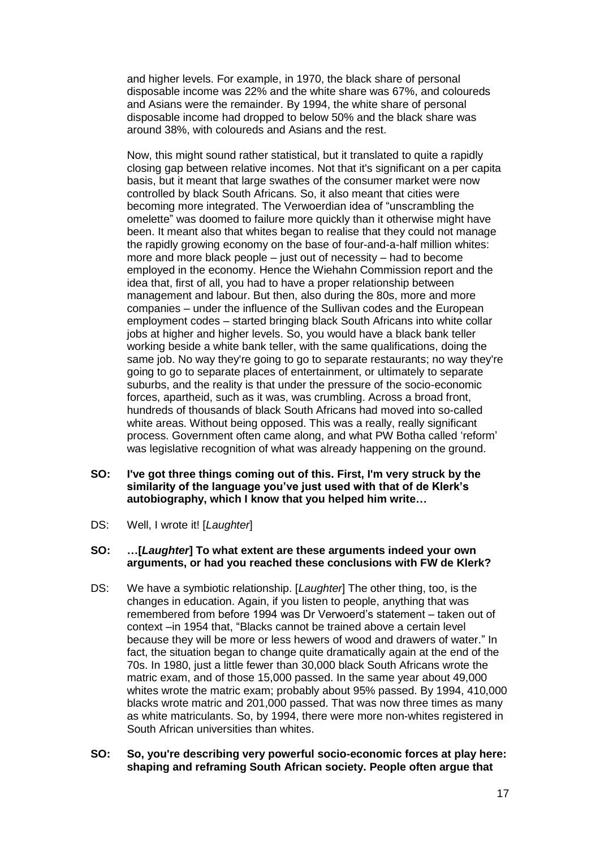and higher levels. For example, in 1970, the black share of personal disposable income was 22% and the white share was 67%, and coloureds and Asians were the remainder. By 1994, the white share of personal disposable income had dropped to below 50% and the black share was around 38%, with coloureds and Asians and the rest.

Now, this might sound rather statistical, but it translated to quite a rapidly closing gap between relative incomes. Not that it's significant on a per capita basis, but it meant that large swathes of the consumer market were now controlled by black South Africans. So, it also meant that cities were becoming more integrated. The Verwoerdian idea of "unscrambling the omelette" was doomed to failure more quickly than it otherwise might have been. It meant also that whites began to realise that they could not manage the rapidly growing economy on the base of four-and-a-half million whites: more and more black people – just out of necessity – had to become employed in the economy. Hence the Wiehahn Commission report and the idea that, first of all, you had to have a proper relationship between management and labour. But then, also during the 80s, more and more companies – under the influence of the Sullivan codes and the European employment codes – started bringing black South Africans into white collar jobs at higher and higher levels. So, you would have a black bank teller working beside a white bank teller, with the same qualifications, doing the same job. No way they're going to go to separate restaurants; no way they're going to go to separate places of entertainment, or ultimately to separate suburbs, and the reality is that under the pressure of the socio-economic forces, apartheid, such as it was, was crumbling. Across a broad front, hundreds of thousands of black South Africans had moved into so-called white areas. Without being opposed. This was a really, really significant process. Government often came along, and what PW Botha called 'reform' was legislative recognition of what was already happening on the ground.

- **SO: I've got three things coming out of this. First, I'm very struck by the similarity of the language you've just used with that of de Klerk's autobiography, which I know that you helped him write…**
- DS: Well, I wrote it! [*Laughter*]

#### **SO: …[***Laughter***] To what extent are these arguments indeed your own arguments, or had you reached these conclusions with FW de Klerk?**

- DS: We have a symbiotic relationship. [*Laughter*] The other thing, too, is the changes in education. Again, if you listen to people, anything that was remembered from before 1994 was Dr Verwoerd's statement – taken out of context –in 1954 that, "Blacks cannot be trained above a certain level because they will be more or less hewers of wood and drawers of water." In fact, the situation began to change quite dramatically again at the end of the 70s. In 1980, just a little fewer than 30,000 black South Africans wrote the matric exam, and of those 15,000 passed. In the same year about 49,000 whites wrote the matric exam; probably about 95% passed. By 1994, 410,000 blacks wrote matric and 201,000 passed. That was now three times as many as white matriculants. So, by 1994, there were more non-whites registered in South African universities than whites.
- **SO: So, you're describing very powerful socio-economic forces at play here: shaping and reframing South African society. People often argue that**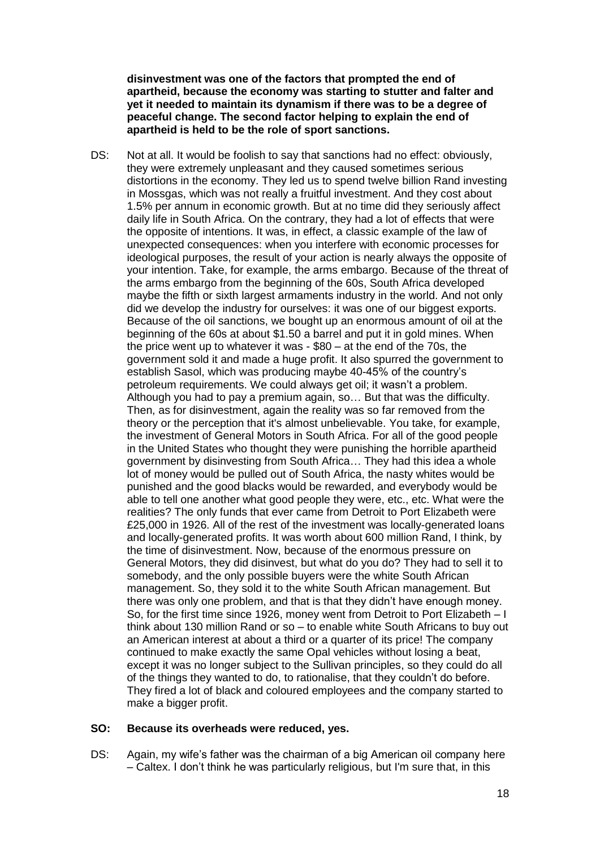**disinvestment was one of the factors that prompted the end of apartheid, because the economy was starting to stutter and falter and yet it needed to maintain its dynamism if there was to be a degree of peaceful change. The second factor helping to explain the end of apartheid is held to be the role of sport sanctions.** 

DS: Not at all. It would be foolish to say that sanctions had no effect: obviously, they were extremely unpleasant and they caused sometimes serious distortions in the economy. They led us to spend twelve billion Rand investing in Mossgas, which was not really a fruitful investment. And they cost about 1.5% per annum in economic growth. But at no time did they seriously affect daily life in South Africa. On the contrary, they had a lot of effects that were the opposite of intentions. It was, in effect, a classic example of the law of unexpected consequences: when you interfere with economic processes for ideological purposes, the result of your action is nearly always the opposite of your intention. Take, for example, the arms embargo. Because of the threat of the arms embargo from the beginning of the 60s, South Africa developed maybe the fifth or sixth largest armaments industry in the world. And not only did we develop the industry for ourselves: it was one of our biggest exports. Because of the oil sanctions, we bought up an enormous amount of oil at the beginning of the 60s at about \$1.50 a barrel and put it in gold mines. When the price went up to whatever it was - \$80 – at the end of the 70s, the government sold it and made a huge profit. It also spurred the government to establish Sasol, which was producing maybe 40-45% of the country's petroleum requirements. We could always get oil; it wasn't a problem. Although you had to pay a premium again, so… But that was the difficulty. Then, as for disinvestment, again the reality was so far removed from the theory or the perception that it's almost unbelievable. You take, for example, the investment of General Motors in South Africa. For all of the good people in the United States who thought they were punishing the horrible apartheid government by disinvesting from South Africa… They had this idea a whole lot of money would be pulled out of South Africa, the nasty whites would be punished and the good blacks would be rewarded, and everybody would be able to tell one another what good people they were, etc., etc. What were the realities? The only funds that ever came from Detroit to Port Elizabeth were £25,000 in 1926. All of the rest of the investment was locally-generated loans and locally-generated profits. It was worth about 600 million Rand, I think, by the time of disinvestment. Now, because of the enormous pressure on General Motors, they did disinvest, but what do you do? They had to sell it to somebody, and the only possible buyers were the white South African management. So, they sold it to the white South African management. But there was only one problem, and that is that they didn't have enough money. So, for the first time since 1926, money went from Detroit to Port Elizabeth – I think about 130 million Rand or so – to enable white South Africans to buy out an American interest at about a third or a quarter of its price! The company continued to make exactly the same Opal vehicles without losing a beat, except it was no longer subject to the Sullivan principles, so they could do all of the things they wanted to do, to rationalise, that they couldn't do before. They fired a lot of black and coloured employees and the company started to make a bigger profit.

#### **SO: Because its overheads were reduced, yes.**

DS: Again, my wife's father was the chairman of a big American oil company here – Caltex. I don't think he was particularly religious, but I'm sure that, in this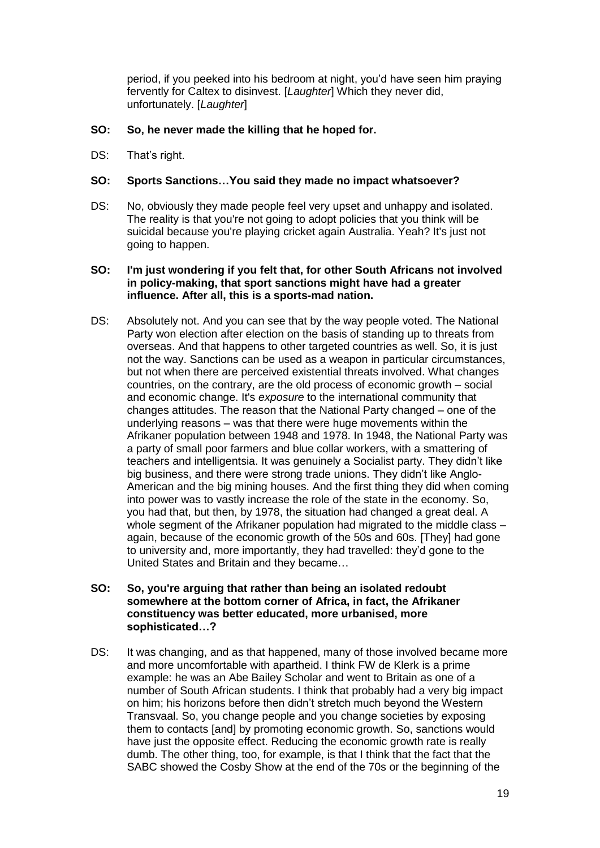period, if you peeked into his bedroom at night, you'd have seen him praying fervently for Caltex to disinvest. [*Laughter*] Which they never did, unfortunately. [*Laughter*]

# **SO: So, he never made the killing that he hoped for.**

DS: That's right.

# **SO: Sports Sanctions…You said they made no impact whatsoever?**

DS: No, obviously they made people feel very upset and unhappy and isolated. The reality is that you're not going to adopt policies that you think will be suicidal because you're playing cricket again Australia. Yeah? It's just not going to happen.

#### **SO: I'm just wondering if you felt that, for other South Africans not involved in policy-making, that sport sanctions might have had a greater influence. After all, this is a sports-mad nation.**

DS: Absolutely not. And you can see that by the way people voted. The National Party won election after election on the basis of standing up to threats from overseas. And that happens to other targeted countries as well. So, it is just not the way. Sanctions can be used as a weapon in particular circumstances, but not when there are perceived existential threats involved. What changes countries, on the contrary, are the old process of economic growth – social and economic change. It's *exposure* to the international community that changes attitudes. The reason that the National Party changed – one of the underlying reasons – was that there were huge movements within the Afrikaner population between 1948 and 1978. In 1948, the National Party was a party of small poor farmers and blue collar workers, with a smattering of teachers and intelligentsia. It was genuinely a Socialist party. They didn't like big business, and there were strong trade unions. They didn't like Anglo-American and the big mining houses. And the first thing they did when coming into power was to vastly increase the role of the state in the economy. So, you had that, but then, by 1978, the situation had changed a great deal. A whole segment of the Afrikaner population had migrated to the middle class – again, because of the economic growth of the 50s and 60s. [They] had gone to university and, more importantly, they had travelled: they'd gone to the United States and Britain and they became…

# **SO: So, you're arguing that rather than being an isolated redoubt somewhere at the bottom corner of Africa, in fact, the Afrikaner constituency was better educated, more urbanised, more sophisticated…?**

DS: It was changing, and as that happened, many of those involved became more and more uncomfortable with apartheid. I think FW de Klerk is a prime example: he was an Abe Bailey Scholar and went to Britain as one of a number of South African students. I think that probably had a very big impact on him; his horizons before then didn't stretch much beyond the Western Transvaal. So, you change people and you change societies by exposing them to contacts [and] by promoting economic growth. So, sanctions would have just the opposite effect. Reducing the economic growth rate is really dumb. The other thing, too, for example, is that I think that the fact that the SABC showed the Cosby Show at the end of the 70s or the beginning of the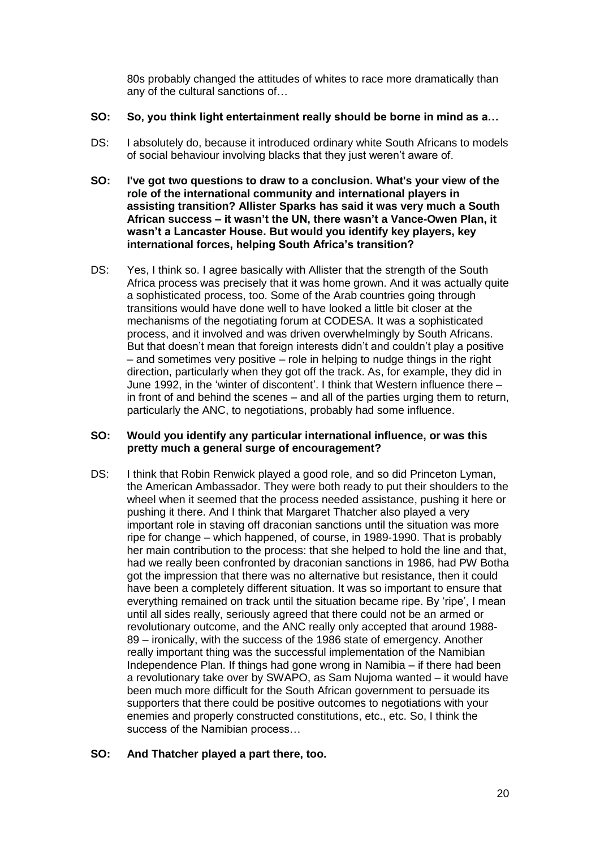80s probably changed the attitudes of whites to race more dramatically than any of the cultural sanctions of…

# **SO: So, you think light entertainment really should be borne in mind as a…**

- DS: I absolutely do, because it introduced ordinary white South Africans to models of social behaviour involving blacks that they just weren't aware of.
- **SO: I've got two questions to draw to a conclusion. What's your view of the role of the international community and international players in assisting transition? Allister Sparks has said it was very much a South African success – it wasn't the UN, there wasn't a Vance-Owen Plan, it wasn't a Lancaster House. But would you identify key players, key international forces, helping South Africa's transition?**
- DS: Yes, I think so. I agree basically with Allister that the strength of the South Africa process was precisely that it was home grown. And it was actually quite a sophisticated process, too. Some of the Arab countries going through transitions would have done well to have looked a little bit closer at the mechanisms of the negotiating forum at CODESA. It was a sophisticated process, and it involved and was driven overwhelmingly by South Africans. But that doesn't mean that foreign interests didn't and couldn't play a positive – and sometimes very positive – role in helping to nudge things in the right direction, particularly when they got off the track. As, for example, they did in June 1992, in the 'winter of discontent'. I think that Western influence there – in front of and behind the scenes – and all of the parties urging them to return, particularly the ANC, to negotiations, probably had some influence.

#### **SO: Would you identify any particular international influence, or was this pretty much a general surge of encouragement?**

DS: I think that Robin Renwick played a good role, and so did Princeton Lyman, the American Ambassador. They were both ready to put their shoulders to the wheel when it seemed that the process needed assistance, pushing it here or pushing it there. And I think that Margaret Thatcher also played a very important role in staving off draconian sanctions until the situation was more ripe for change – which happened, of course, in 1989-1990. That is probably her main contribution to the process: that she helped to hold the line and that, had we really been confronted by draconian sanctions in 1986, had PW Botha got the impression that there was no alternative but resistance, then it could have been a completely different situation. It was so important to ensure that everything remained on track until the situation became ripe. By 'ripe', I mean until all sides really, seriously agreed that there could not be an armed or revolutionary outcome, and the ANC really only accepted that around 1988- 89 – ironically, with the success of the 1986 state of emergency. Another really important thing was the successful implementation of the Namibian Independence Plan. If things had gone wrong in Namibia – if there had been a revolutionary take over by SWAPO, as Sam Nujoma wanted – it would have been much more difficult for the South African government to persuade its supporters that there could be positive outcomes to negotiations with your enemies and properly constructed constitutions, etc., etc. So, I think the success of the Namibian process…

# **SO: And Thatcher played a part there, too.**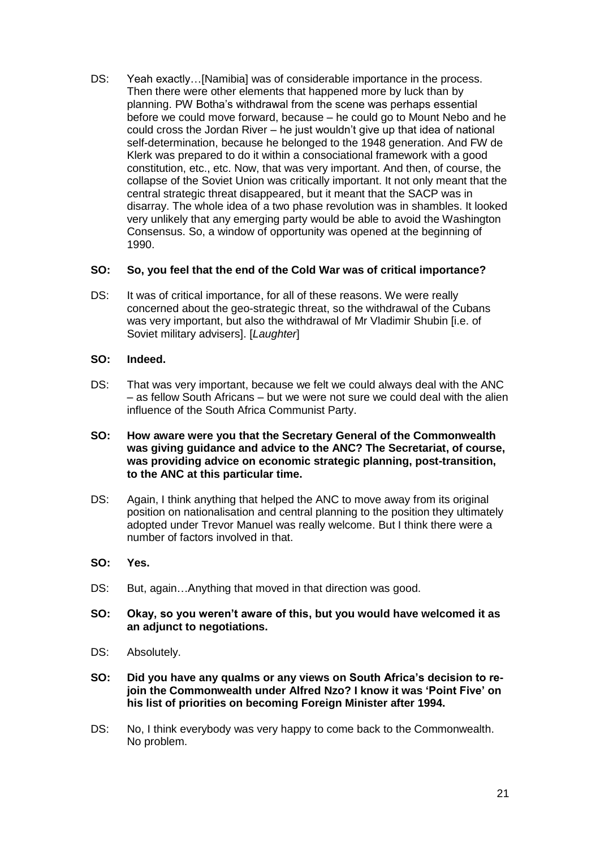DS: Yeah exactly…[Namibia] was of considerable importance in the process. Then there were other elements that happened more by luck than by planning. PW Botha's withdrawal from the scene was perhaps essential before we could move forward, because – he could go to Mount Nebo and he could cross the Jordan River – he just wouldn't give up that idea of national self-determination, because he belonged to the 1948 generation. And FW de Klerk was prepared to do it within a consociational framework with a good constitution, etc., etc. Now, that was very important. And then, of course, the collapse of the Soviet Union was critically important. It not only meant that the central strategic threat disappeared, but it meant that the SACP was in disarray. The whole idea of a two phase revolution was in shambles. It looked very unlikely that any emerging party would be able to avoid the Washington Consensus. So, a window of opportunity was opened at the beginning of 1990.

# **SO: So, you feel that the end of the Cold War was of critical importance?**

DS: It was of critical importance, for all of these reasons. We were really concerned about the geo-strategic threat, so the withdrawal of the Cubans was very important, but also the withdrawal of Mr Vladimir Shubin [i.e. of Soviet military advisers]. [*Laughter*]

#### **SO: Indeed.**

- DS: That was very important, because we felt we could always deal with the ANC – as fellow South Africans – but we were not sure we could deal with the alien influence of the South Africa Communist Party.
- **SO: How aware were you that the Secretary General of the Commonwealth was giving guidance and advice to the ANC? The Secretariat, of course, was providing advice on economic strategic planning, post-transition, to the ANC at this particular time.**
- DS: Again, I think anything that helped the ANC to move away from its original position on nationalisation and central planning to the position they ultimately adopted under Trevor Manuel was really welcome. But I think there were a number of factors involved in that.
- **SO: Yes.**
- DS: But, again…Anything that moved in that direction was good.
- **SO: Okay, so you weren't aware of this, but you would have welcomed it as an adjunct to negotiations.**
- DS: Absolutely.
- **SO: Did you have any qualms or any views on South Africa's decision to rejoin the Commonwealth under Alfred Nzo? I know it was 'Point Five' on his list of priorities on becoming Foreign Minister after 1994.**
- DS: No, I think everybody was very happy to come back to the Commonwealth. No problem.